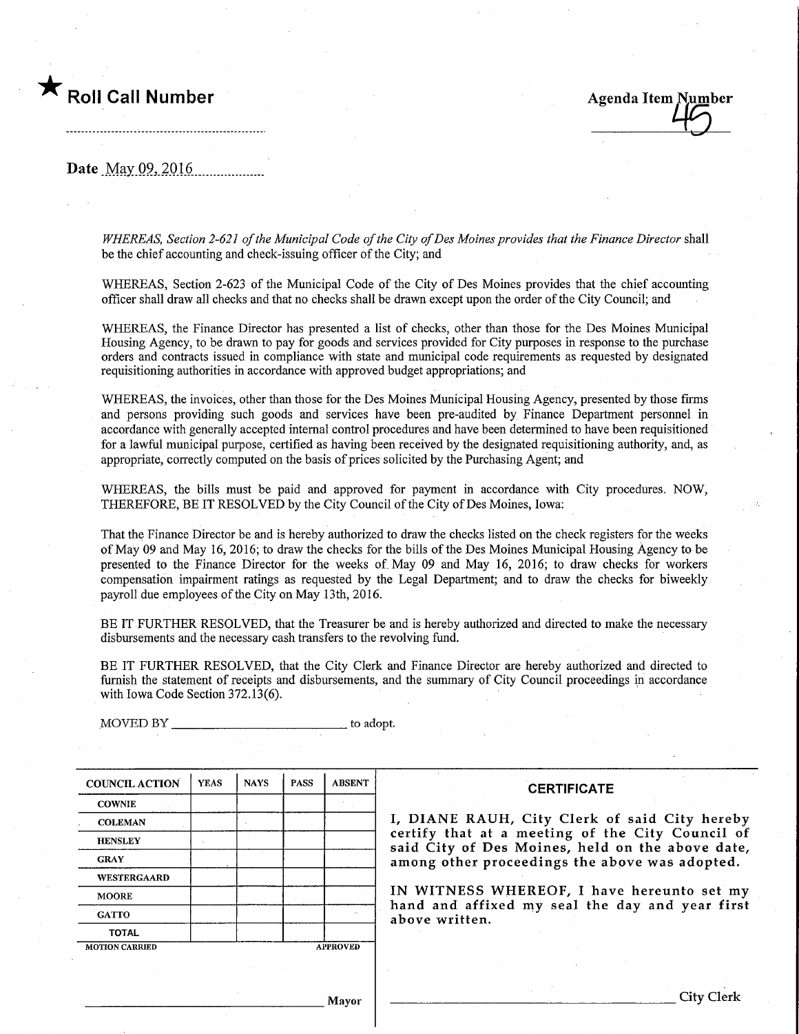# Roll Call Number Agenda Item Number

Date May 09, 2016.

WHEREAS, Section 2-621 of the Municipal Code of the City of Des Moines provides that the Finance Director shall be the chief accounting and check-issuing officer of the City; and

WHEREAS, Section 2-623 of the Municipal Code of the City of Des Moines provides that the chief accounting officer shall draw all checks and that no checks shall be drawn except upon the order of the City Council; and

WHEREAS, the Finance Director has presented a list of checks, other than those for the Des Momes Municipal Housing Agency, to be drawn to pay for goods and services provided for City purposes m response to the purchase orders and contracts issued in compliance with state and municipal code requirements as requested by designated requisitioning authorities in accordance with approved budget appropriations; and

WHEREAS, the invoices, other than those for the Des Moines Municipal Housing Agency, presented by those firms and persons providmg such goods and services have been pre-audited by Finance Department personnel in accordance with generally accepted internal control procedures and have been determined to have been requisitioned for a lawful municipal purpose, certified as having been received by the designated requisitioning authority, and, as appropriate, correctly computed on the basis of prices solicited by the Purchasing Agent; and

WHEREAS, the bills must be paid and approved for payment in accordance with City procedures. NOW, THEREFORE, BE IT RESOLVED by the City Council of the City of Des Moines, Iowa:

That the Finance Director be and is hereby authorized to draw the checks listed on the check registers for the weeks ofMsy 09 and May 16, 2016; to draw the checks for the bills of the Des Moines Municipal Housing Agency to be presented to the Finance Director for the weeks of May 09 and May 16, 2016; to draw checks for workers compensation impairment ratings as requested by the Legal Department; and to draw the checks for biweekly payroll due employees of the City on May 13th, 2016.

BE IT FURTHER RESOLVED, that the Treasurer be and is hereby authorized and directed to make the necessary disbursements and the necessary cash transfers to the revolving fimd.

BE IT FURTHER RESOLVED, that the City Clerk and Finance Director are hereby authorized and directed to furnish the statement of receipts and disbursements, and the summary of City Council proceedings in accordance with Iowa Code Section 372.13(6).

COUNCIL ACTION **COWNIE COLEMAN HENSLEY** GRAY WESTERGAARD **MOORE GATTO TOTAL** YEAS | NAYS MOTION CARRIED PASS A PROVED ABSENT

MOVED BY to adopt.

**CERTIFICATE** 

I, DIANE RAUH, City Clerk of said City hereby certify that at a meeting of the City Council of said City of Des Moines, held on the above date, among other proceedings the above was adopted.

IN WITNESS WHEREOF, I have hereunto set my hand and affixed my seal the day and year first above written.

Mayor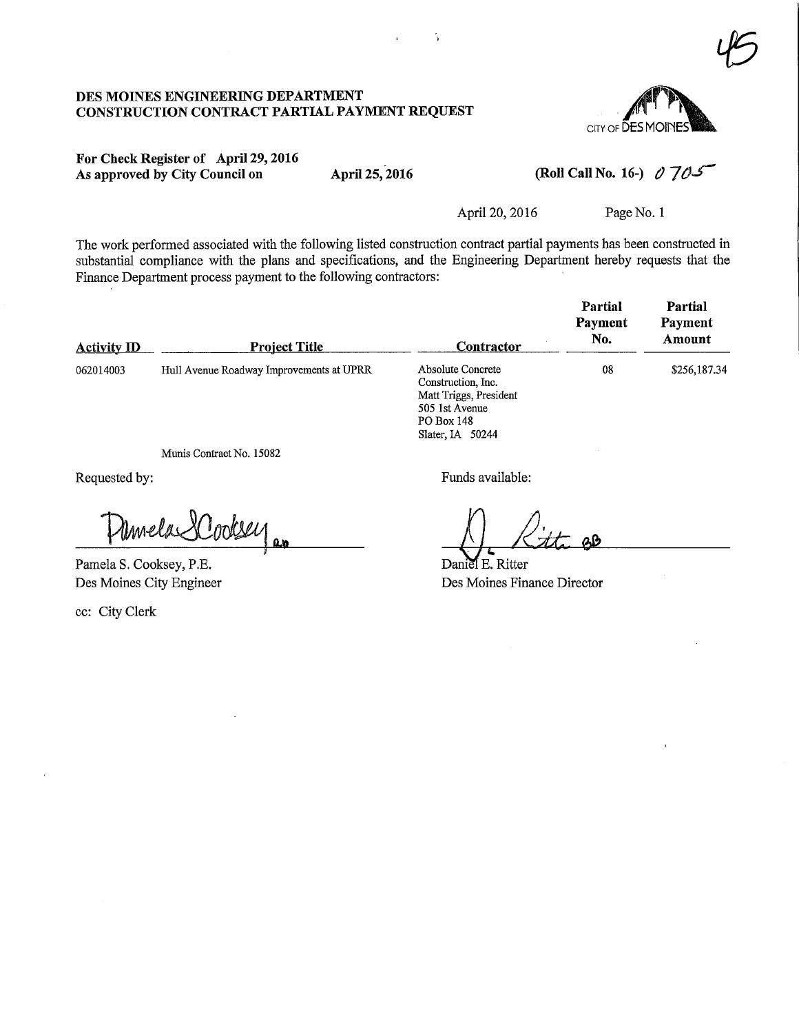#### DES MOINES ENGINEERING DEPARTMENT CONSTRUCTION CONTRACT PARTIAL PAYMENT REQUEST



## For Check Register of April 29,2016 As approved by City Council on April 25, 2016

(Roll Call No. 16-)  $\partial$  705

April 20, 2016 Page No. 1

The work performed associated with the following listed construction contract partial payments has been constructed in substantial compliance with the plans and specifications, and the Engineering Department hereby requests that the Finance Department process payment to the following contractors:

| <b>Activity ID</b> | <b>Project Title</b>                     | Contractor                                                                                                            | Partial<br>Payment<br>No. | Partial<br>Payment<br>Amount |
|--------------------|------------------------------------------|-----------------------------------------------------------------------------------------------------------------------|---------------------------|------------------------------|
| 062014003          | Hull Avenue Roadway Improvements at UPRR | Absolute Concrete<br>Construction, Inc.<br>Matt Triggs, President<br>505 1st Avenue<br>PO Box 148<br>Slater, IA 50244 | 08                        | \$256,187.34                 |

Munis Contract No. 15082

Requested by:

EL»

Pamela S. Cooksey, P.E. Des Moines City Engineer

ec: City Clerk

Funds available:

 $\mathbf{a}\mathbf{b}$ 

Daniel E. Ritter Des Moines Finance Director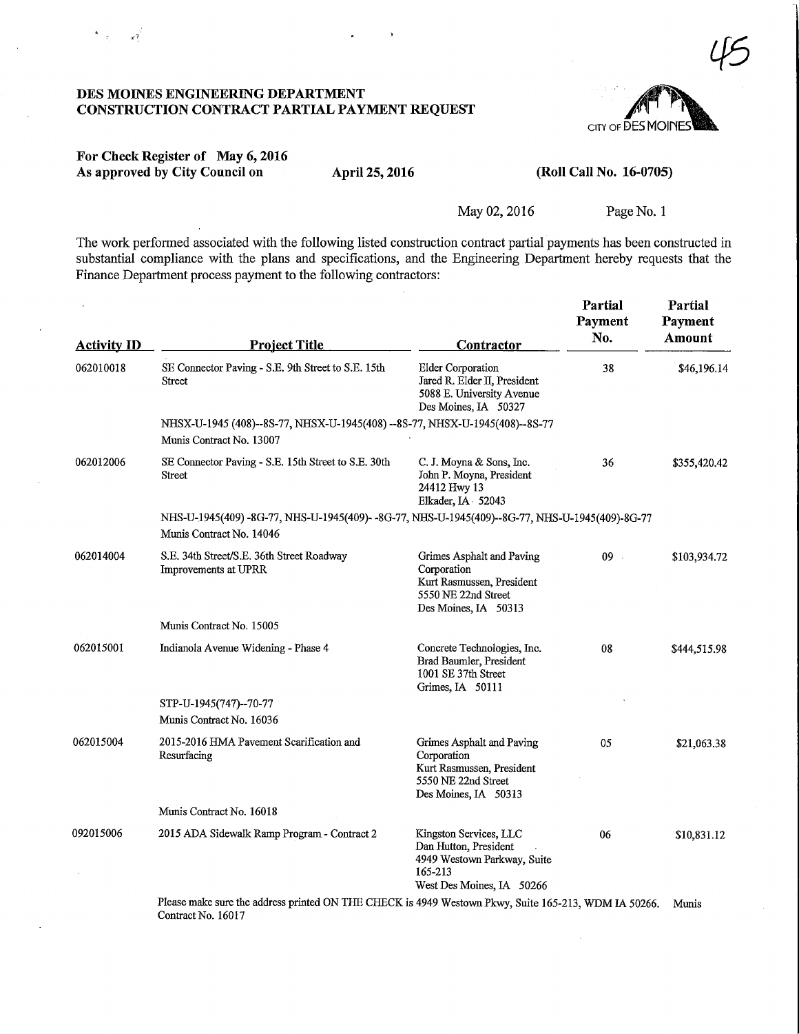### DES MOINES ENGINEERING DEPARTMENT CONSTRUCTION CONTRACT PARTIAL PAYMENT REQUEST



### For Check Register of May 6,2016 As approved by City Council on April 25, 2016 (Roll Call No. 16-0705)

May 02, 2016 Page No. 1

The work performed associated with the following listed construction contract partial payments has been constructed in substantial compliance with the plans and specifications, and the Engineering Department hereby requests that the Finance Department process payment to the following contractors:

| <b>Activity ID</b> | <b>Project Title</b>                                                                                                           | Contractor                                                                                                             | Partial<br>Payment<br>No. | Partial<br>Payment<br>Amount |  |
|--------------------|--------------------------------------------------------------------------------------------------------------------------------|------------------------------------------------------------------------------------------------------------------------|---------------------------|------------------------------|--|
| 062010018          | SE Connector Paving - S.E. 9th Street to S.E. 15th<br><b>Street</b>                                                            | <b>Elder Corporation</b><br>Jared R. Elder II, President<br>5088 E. University Avenue<br>Des Moines, IA 50327          | 38                        | \$46,196.14                  |  |
|                    | NHSX-U-1945 (408)--8S-77, NHSX-U-1945 (408) -- 8S-77, NHSX-U-1945 (408)--8S-77<br>Munis Contract No. 13007                     |                                                                                                                        |                           |                              |  |
| 062012006          | SE Connector Paving - S.E. 15th Street to S.E. 30th<br>Street                                                                  | C. J. Moyna & Sons, Inc.<br>John P. Moyna, President<br>24412 Hwy 13<br>Elkader, IA 52043                              | 36                        | \$355,420.42                 |  |
|                    | NHS-U-1945(409) -8G-77, NHS-U-1945(409) - -8G-77, NHS-U-1945(409) -- 8G-77, NHS-U-1945(409) -8G-77<br>Munis Contract No. 14046 |                                                                                                                        |                           |                              |  |
| 062014004          | S.E. 34th Street/S.E. 36th Street Roadway<br>Improvements at UPRR                                                              | Grimes Asphalt and Paving<br>Corporation<br>Kurt Rasmussen, President<br>5550 NE 22nd Street<br>Des Moines, IA 50313   | $09$ .                    | \$103,934.72                 |  |
|                    | Munis Contract No. 15005                                                                                                       |                                                                                                                        |                           |                              |  |
| 062015001          | Indianola Avenue Widening - Phase 4                                                                                            | Concrete Technologies, Inc.<br>Brad Baumler, President<br>1001 SE 37th Street<br>Grimes, IA 50111                      | 08                        | \$444,515.98                 |  |
|                    | STP-U-1945(747)--70-77<br>Munis Contract No. 16036                                                                             |                                                                                                                        |                           |                              |  |
| 062015004          | 2015-2016 HMA Pavement Scarification and<br>Resurfacing                                                                        | Grimes Asphalt and Paving<br>Corporation<br>Kurt Rasmussen, President<br>5550 NE 22nd Street<br>Des Moines, IA 50313   | 05                        | \$21,063.38                  |  |
|                    | Munis Contract No. 16018                                                                                                       |                                                                                                                        |                           |                              |  |
| 092015006          | 2015 ADA Sidewalk Ramp Program - Contract 2                                                                                    | Kingston Services, LLC<br>Dan Hutton, President<br>4949 Westown Parkway, Suite<br>165-213<br>West Des Moines, IA 50266 | 06                        | \$10,831.12                  |  |
|                    | Please make sure the address printed ON THE CHECK is 4949 Westown Pkwy, Suite 165-213, WDM IA 50266.<br>Contract No. 16017     |                                                                                                                        |                           | Munis                        |  |